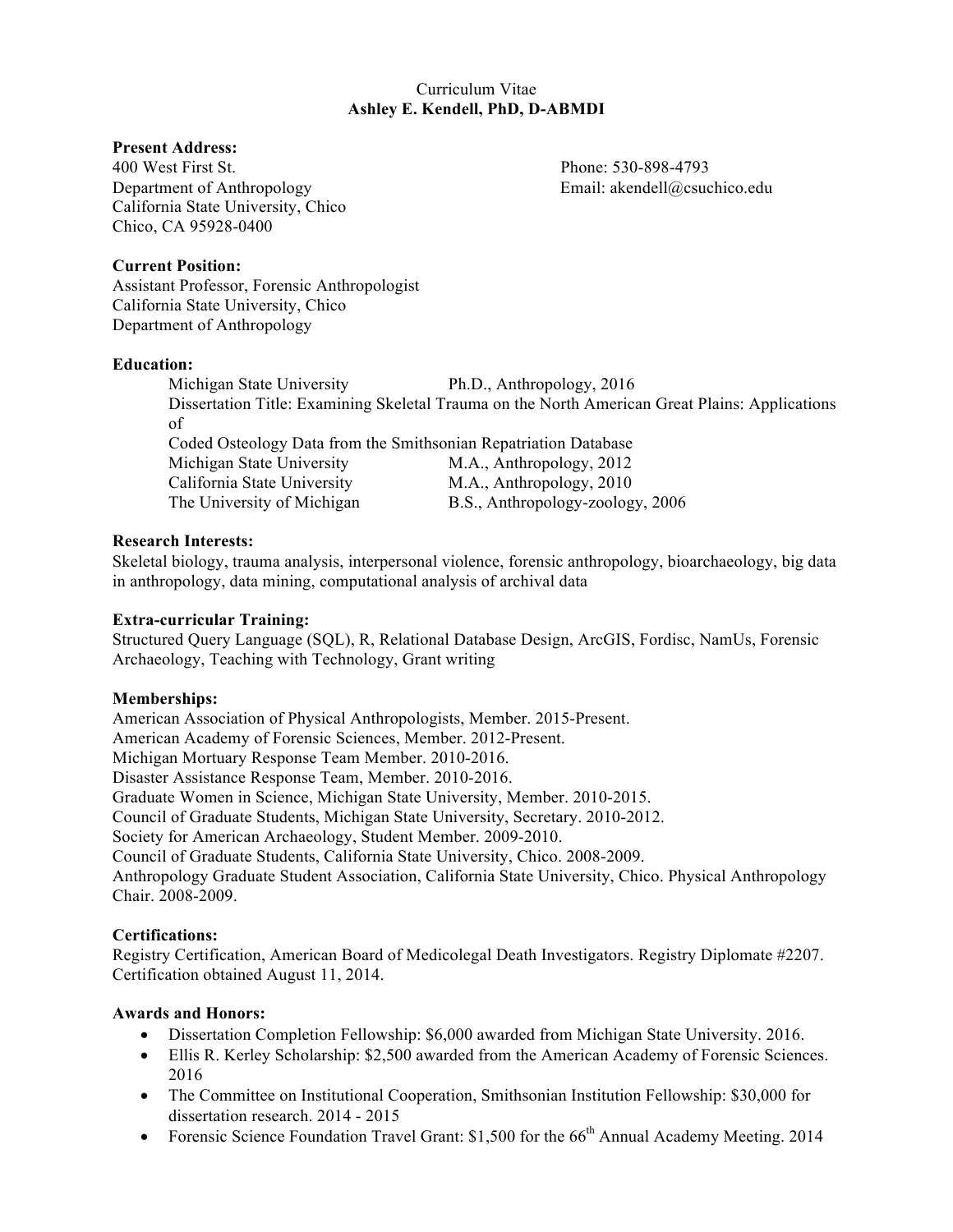# Curriculum Vitae **Ashley E. Kendell, PhD, D-ABMDI**

## **Present Address:**

400 West First St. Phone: 530-898-4793 Department of Anthropology Email: akendell@csuchico.edu California State University, Chico Chico, CA 95928-0400

## **Current Position:**

Assistant Professor, Forensic Anthropologist California State University, Chico Department of Anthropology

#### **Education:**

Michigan State University Ph.D., Anthropology, 2016 Dissertation Title: Examining Skeletal Trauma on the North American Great Plains: Applications of Coded Osteology Data from the Smithsonian Repatriation Database Michigan State University M.A., Anthropology, 2012 California State University M.A., Anthropology, 2010 The University of Michigan B.S., Anthropology-zoology, 2006

## **Research Interests:**

Skeletal biology, trauma analysis, interpersonal violence, forensic anthropology, bioarchaeology, big data in anthropology, data mining, computational analysis of archival data

## **Extra-curricular Training:**

Structured Query Language (SQL), R, Relational Database Design, ArcGIS, Fordisc, NamUs, Forensic Archaeology, Teaching with Technology, Grant writing

## **Memberships:**

American Association of Physical Anthropologists, Member. 2015-Present. American Academy of Forensic Sciences, Member. 2012-Present. Michigan Mortuary Response Team Member. 2010-2016. Disaster Assistance Response Team, Member. 2010-2016. Graduate Women in Science, Michigan State University, Member. 2010-2015. Council of Graduate Students, Michigan State University, Secretary. 2010-2012. Society for American Archaeology, Student Member. 2009-2010. Council of Graduate Students, California State University, Chico. 2008-2009. Anthropology Graduate Student Association, California State University, Chico. Physical Anthropology Chair. 2008-2009.

## **Certifications:**

Registry Certification, American Board of Medicolegal Death Investigators. Registry Diplomate #2207. Certification obtained August 11, 2014.

## **Awards and Honors:**

- Dissertation Completion Fellowship: \$6,000 awarded from Michigan State University. 2016.
- Ellis R. Kerley Scholarship: \$2,500 awarded from the American Academy of Forensic Sciences. 2016
- The Committee on Institutional Cooperation, Smithsonian Institution Fellowship: \$30,000 for dissertation research. 2014 - 2015
- Forensic Science Foundation Travel Grant:  $$1,500$  for the  $66<sup>th</sup>$  Annual Academy Meeting. 2014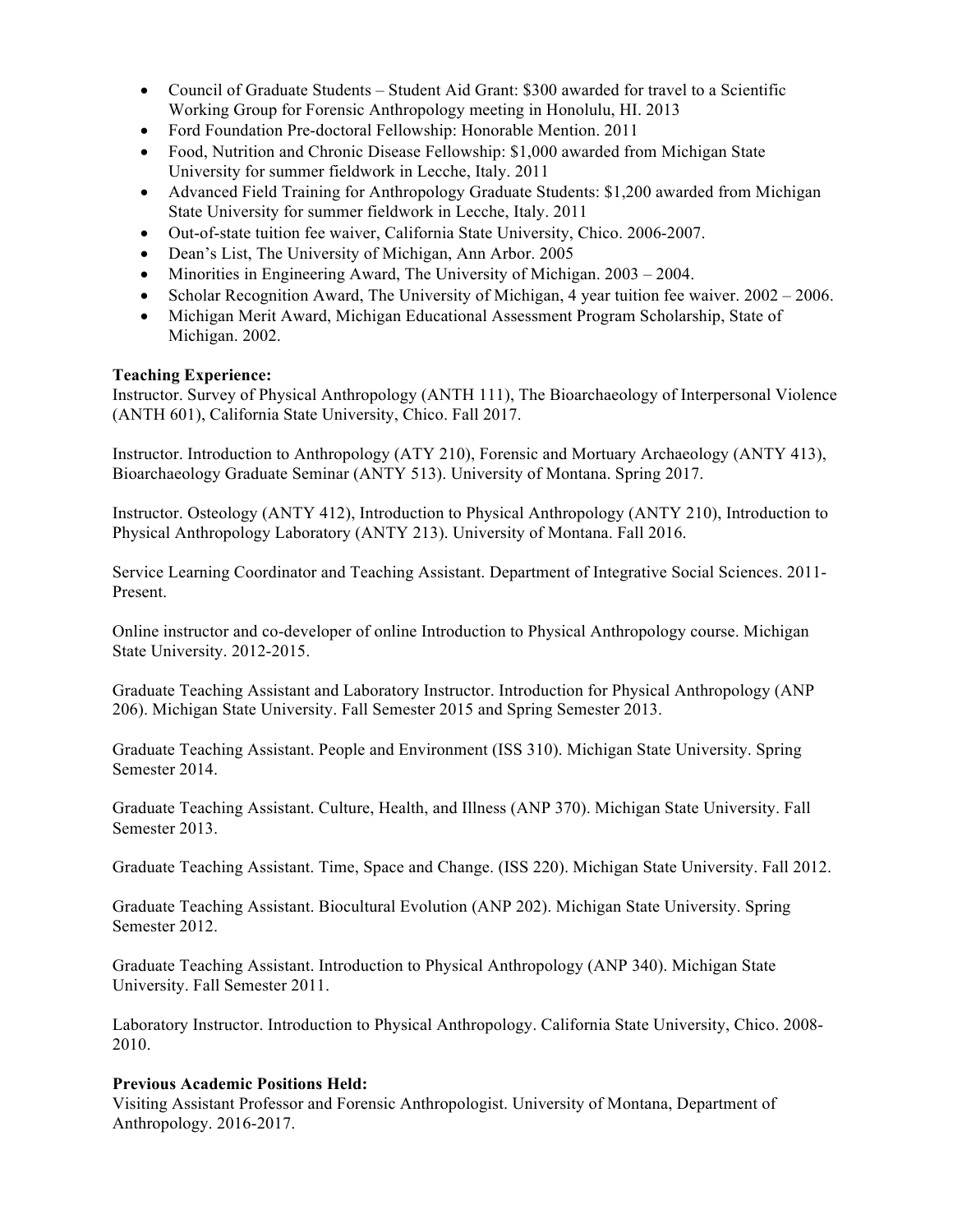- Council of Graduate Students Student Aid Grant: \$300 awarded for travel to a Scientific Working Group for Forensic Anthropology meeting in Honolulu, HI. 2013
- Ford Foundation Pre-doctoral Fellowship: Honorable Mention. 2011
- Food, Nutrition and Chronic Disease Fellowship: \$1,000 awarded from Michigan State University for summer fieldwork in Lecche, Italy. 2011
- Advanced Field Training for Anthropology Graduate Students: \$1,200 awarded from Michigan State University for summer fieldwork in Lecche, Italy. 2011
- Out-of-state tuition fee waiver, California State University, Chico. 2006-2007.
- Dean's List, The University of Michigan, Ann Arbor. 2005
- Minorities in Engineering Award, The University of Michigan. 2003 2004.
- Scholar Recognition Award, The University of Michigan, 4 year tuition fee waiver. 2002 2006.
- Michigan Merit Award, Michigan Educational Assessment Program Scholarship, State of Michigan. 2002.

# **Teaching Experience:**

Instructor. Survey of Physical Anthropology (ANTH 111), The Bioarchaeology of Interpersonal Violence (ANTH 601), California State University, Chico. Fall 2017.

Instructor. Introduction to Anthropology (ATY 210), Forensic and Mortuary Archaeology (ANTY 413), Bioarchaeology Graduate Seminar (ANTY 513). University of Montana. Spring 2017.

Instructor. Osteology (ANTY 412), Introduction to Physical Anthropology (ANTY 210), Introduction to Physical Anthropology Laboratory (ANTY 213). University of Montana. Fall 2016.

Service Learning Coordinator and Teaching Assistant. Department of Integrative Social Sciences. 2011- Present.

Online instructor and co-developer of online Introduction to Physical Anthropology course. Michigan State University. 2012-2015.

Graduate Teaching Assistant and Laboratory Instructor. Introduction for Physical Anthropology (ANP 206). Michigan State University. Fall Semester 2015 and Spring Semester 2013.

Graduate Teaching Assistant. People and Environment (ISS 310). Michigan State University. Spring Semester 2014.

Graduate Teaching Assistant. Culture, Health, and Illness (ANP 370). Michigan State University. Fall Semester 2013.

Graduate Teaching Assistant. Time, Space and Change. (ISS 220). Michigan State University. Fall 2012.

Graduate Teaching Assistant. Biocultural Evolution (ANP 202). Michigan State University. Spring Semester 2012.

Graduate Teaching Assistant. Introduction to Physical Anthropology (ANP 340). Michigan State University. Fall Semester 2011.

Laboratory Instructor. Introduction to Physical Anthropology. California State University, Chico. 2008- 2010.

## **Previous Academic Positions Held:**

Visiting Assistant Professor and Forensic Anthropologist. University of Montana, Department of Anthropology. 2016-2017.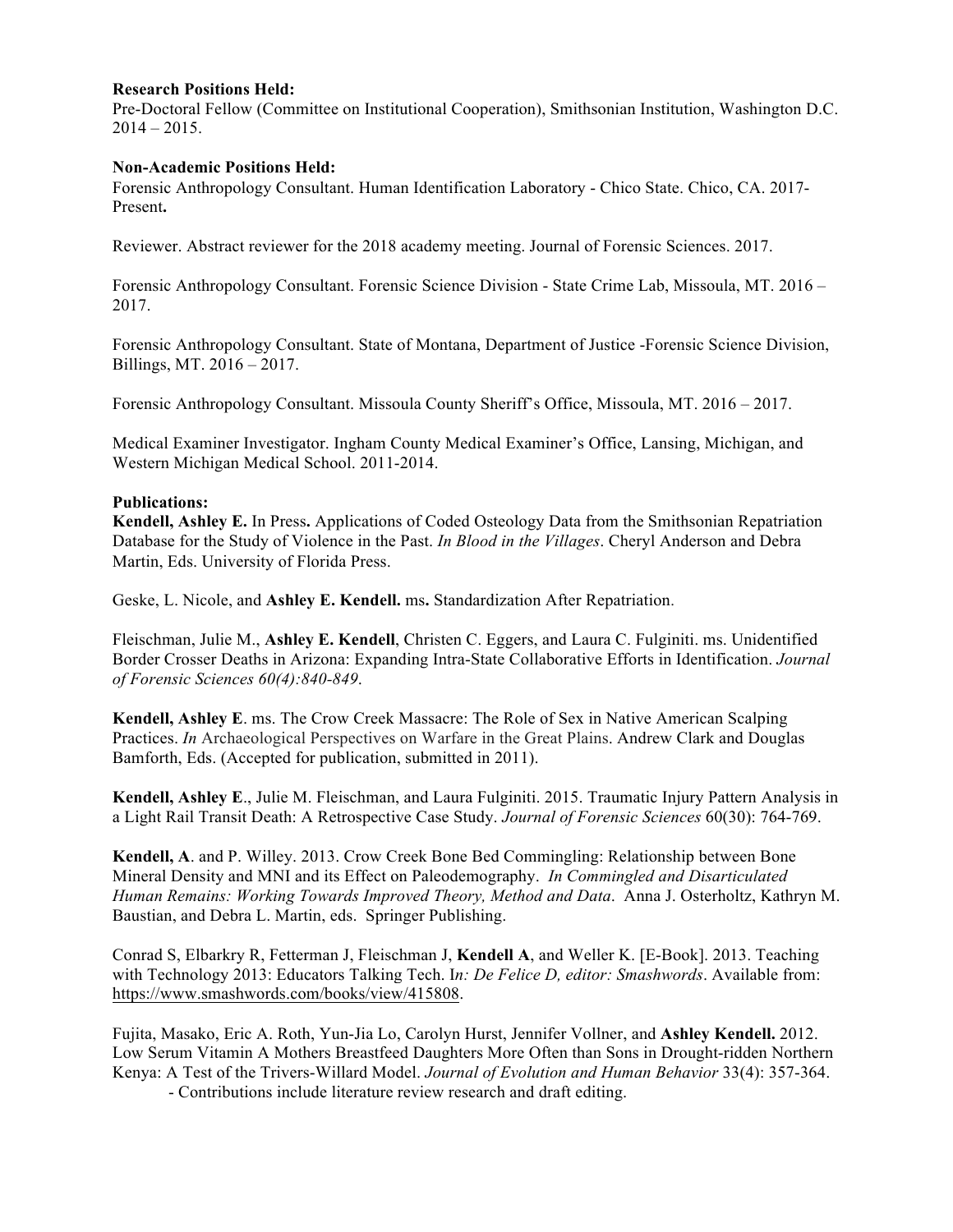#### **Research Positions Held:**

Pre-Doctoral Fellow (Committee on Institutional Cooperation), Smithsonian Institution, Washington D.C.  $2014 - 2015$ .

#### **Non-Academic Positions Held:**

Forensic Anthropology Consultant. Human Identification Laboratory - Chico State. Chico, CA. 2017- Present**.**

Reviewer. Abstract reviewer for the 2018 academy meeting. Journal of Forensic Sciences. 2017.

Forensic Anthropology Consultant. Forensic Science Division - State Crime Lab, Missoula, MT. 2016 – 2017.

Forensic Anthropology Consultant. State of Montana, Department of Justice -Forensic Science Division, Billings, MT. 2016 – 2017.

Forensic Anthropology Consultant. Missoula County Sheriff's Office, Missoula, MT. 2016 – 2017.

Medical Examiner Investigator. Ingham County Medical Examiner's Office, Lansing, Michigan, and Western Michigan Medical School. 2011-2014.

#### **Publications:**

**Kendell, Ashley E.** In Press**.** Applications of Coded Osteology Data from the Smithsonian Repatriation Database for the Study of Violence in the Past. *In Blood in the Villages*. Cheryl Anderson and Debra Martin, Eds. University of Florida Press.

Geske, L. Nicole, and **Ashley E. Kendell.** ms**.** Standardization After Repatriation.

Fleischman, Julie M., **Ashley E. Kendell**, Christen C. Eggers, and Laura C. Fulginiti. ms. Unidentified Border Crosser Deaths in Arizona: Expanding Intra-State Collaborative Efforts in Identification. *Journal of Forensic Sciences 60(4):840-849*.

**Kendell, Ashley E**. ms. The Crow Creek Massacre: The Role of Sex in Native American Scalping Practices. *In* Archaeological Perspectives on Warfare in the Great Plains. Andrew Clark and Douglas Bamforth, Eds. (Accepted for publication, submitted in 2011).

**Kendell, Ashley E**., Julie M. Fleischman, and Laura Fulginiti. 2015. Traumatic Injury Pattern Analysis in a Light Rail Transit Death: A Retrospective Case Study. *Journal of Forensic Sciences* 60(30): 764-769.

**Kendell, A**. and P. Willey. 2013. Crow Creek Bone Bed Commingling: Relationship between Bone Mineral Density and MNI and its Effect on Paleodemography. *In Commingled and Disarticulated Human Remains: Working Towards Improved Theory, Method and Data*. Anna J. Osterholtz, Kathryn M. Baustian, and Debra L. Martin, eds. Springer Publishing.

Conrad S, Elbarkry R, Fetterman J, Fleischman J, **Kendell A**, and Weller K. [E-Book]. 2013. Teaching with Technology 2013: Educators Talking Tech. I*n: De Felice D, editor: Smashwords*. Available from: https://www.smashwords.com/books/view/415808.

Fujita, Masako, Eric A. Roth, Yun-Jia Lo, Carolyn Hurst, Jennifer Vollner, and **Ashley Kendell.** 2012. Low Serum Vitamin A Mothers Breastfeed Daughters More Often than Sons in Drought-ridden Northern Kenya: A Test of the Trivers-Willard Model. *Journal of Evolution and Human Behavior* 33(4): 357-364.

- Contributions include literature review research and draft editing.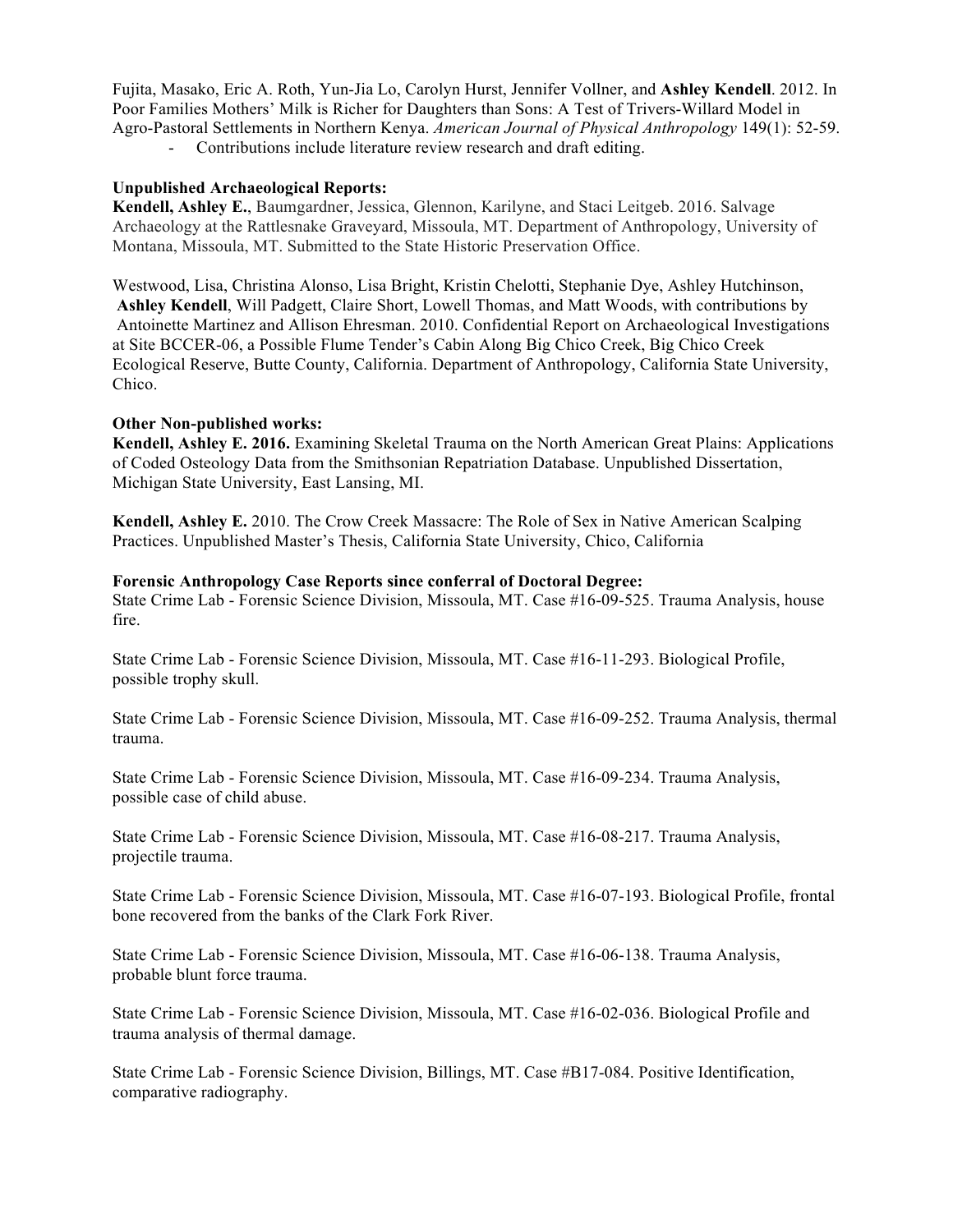Fujita, Masako, Eric A. Roth, Yun-Jia Lo, Carolyn Hurst, Jennifer Vollner, and **Ashley Kendell**. 2012. In Poor Families Mothers' Milk is Richer for Daughters than Sons: A Test of Trivers-Willard Model in Agro-Pastoral Settlements in Northern Kenya. *American Journal of Physical Anthropology* 149(1): 52-59. - Contributions include literature review research and draft editing.

# **Unpublished Archaeological Reports:**

**Kendell, Ashley E.**, Baumgardner, Jessica, Glennon, Karilyne, and Staci Leitgeb. 2016. Salvage Archaeology at the Rattlesnake Graveyard, Missoula, MT. Department of Anthropology, University of Montana, Missoula, MT. Submitted to the State Historic Preservation Office.

Westwood, Lisa, Christina Alonso, Lisa Bright, Kristin Chelotti, Stephanie Dye, Ashley Hutchinson, **Ashley Kendell**, Will Padgett, Claire Short, Lowell Thomas, and Matt Woods, with contributions by Antoinette Martinez and Allison Ehresman. 2010. Confidential Report on Archaeological Investigations at Site BCCER-06, a Possible Flume Tender's Cabin Along Big Chico Creek, Big Chico Creek Ecological Reserve, Butte County, California. Department of Anthropology, California State University, Chico.

#### **Other Non-published works:**

**Kendell, Ashley E. 2016.** Examining Skeletal Trauma on the North American Great Plains: Applications of Coded Osteology Data from the Smithsonian Repatriation Database. Unpublished Dissertation, Michigan State University, East Lansing, MI.

**Kendell, Ashley E.** 2010. The Crow Creek Massacre: The Role of Sex in Native American Scalping Practices. Unpublished Master's Thesis, California State University, Chico, California

#### **Forensic Anthropology Case Reports since conferral of Doctoral Degree:**

State Crime Lab - Forensic Science Division, Missoula, MT. Case #16-09-525. Trauma Analysis, house fire.

State Crime Lab - Forensic Science Division, Missoula, MT. Case #16-11-293. Biological Profile, possible trophy skull.

State Crime Lab - Forensic Science Division, Missoula, MT. Case #16-09-252. Trauma Analysis, thermal trauma.

State Crime Lab - Forensic Science Division, Missoula, MT. Case #16-09-234. Trauma Analysis, possible case of child abuse.

State Crime Lab - Forensic Science Division, Missoula, MT. Case #16-08-217. Trauma Analysis, projectile trauma.

State Crime Lab - Forensic Science Division, Missoula, MT. Case #16-07-193. Biological Profile, frontal bone recovered from the banks of the Clark Fork River.

State Crime Lab - Forensic Science Division, Missoula, MT. Case #16-06-138. Trauma Analysis, probable blunt force trauma.

State Crime Lab - Forensic Science Division, Missoula, MT. Case #16-02-036. Biological Profile and trauma analysis of thermal damage.

State Crime Lab - Forensic Science Division, Billings, MT. Case #B17-084. Positive Identification, comparative radiography.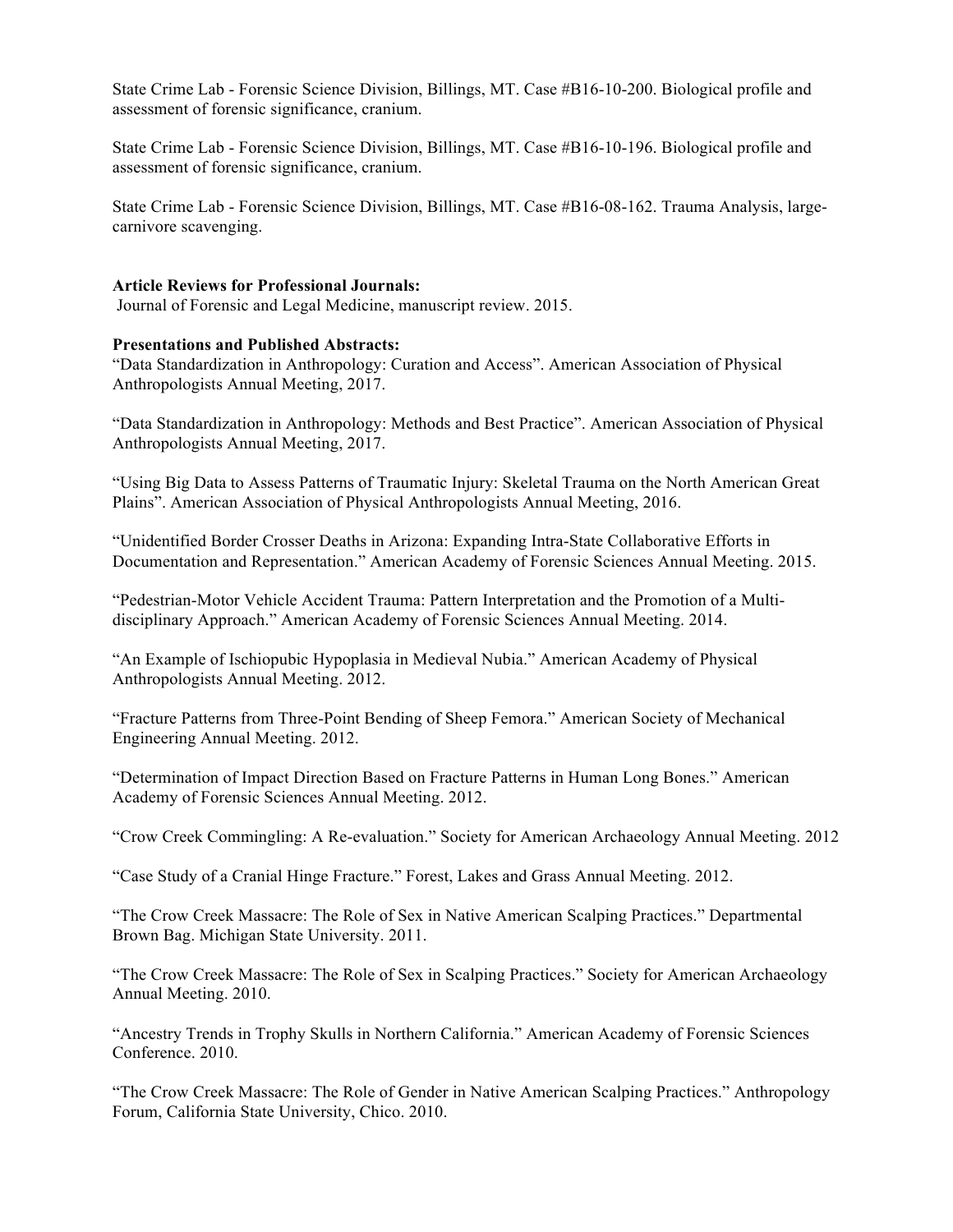State Crime Lab - Forensic Science Division, Billings, MT. Case #B16-10-200. Biological profile and assessment of forensic significance, cranium.

State Crime Lab - Forensic Science Division, Billings, MT. Case #B16-10-196. Biological profile and assessment of forensic significance, cranium.

State Crime Lab - Forensic Science Division, Billings, MT. Case #B16-08-162. Trauma Analysis, largecarnivore scavenging.

#### **Article Reviews for Professional Journals:**

Journal of Forensic and Legal Medicine, manuscript review. 2015.

#### **Presentations and Published Abstracts:**

"Data Standardization in Anthropology: Curation and Access". American Association of Physical Anthropologists Annual Meeting, 2017.

"Data Standardization in Anthropology: Methods and Best Practice". American Association of Physical Anthropologists Annual Meeting, 2017.

"Using Big Data to Assess Patterns of Traumatic Injury: Skeletal Trauma on the North American Great Plains". American Association of Physical Anthropologists Annual Meeting, 2016.

"Unidentified Border Crosser Deaths in Arizona: Expanding Intra-State Collaborative Efforts in Documentation and Representation." American Academy of Forensic Sciences Annual Meeting. 2015.

"Pedestrian-Motor Vehicle Accident Trauma: Pattern Interpretation and the Promotion of a Multidisciplinary Approach." American Academy of Forensic Sciences Annual Meeting. 2014.

"An Example of Ischiopubic Hypoplasia in Medieval Nubia." American Academy of Physical Anthropologists Annual Meeting. 2012.

"Fracture Patterns from Three-Point Bending of Sheep Femora." American Society of Mechanical Engineering Annual Meeting. 2012.

"Determination of Impact Direction Based on Fracture Patterns in Human Long Bones." American Academy of Forensic Sciences Annual Meeting. 2012.

"Crow Creek Commingling: A Re-evaluation." Society for American Archaeology Annual Meeting. 2012

"Case Study of a Cranial Hinge Fracture." Forest, Lakes and Grass Annual Meeting. 2012.

"The Crow Creek Massacre: The Role of Sex in Native American Scalping Practices." Departmental Brown Bag. Michigan State University. 2011.

"The Crow Creek Massacre: The Role of Sex in Scalping Practices." Society for American Archaeology Annual Meeting. 2010.

"Ancestry Trends in Trophy Skulls in Northern California." American Academy of Forensic Sciences Conference. 2010.

"The Crow Creek Massacre: The Role of Gender in Native American Scalping Practices." Anthropology Forum, California State University, Chico. 2010.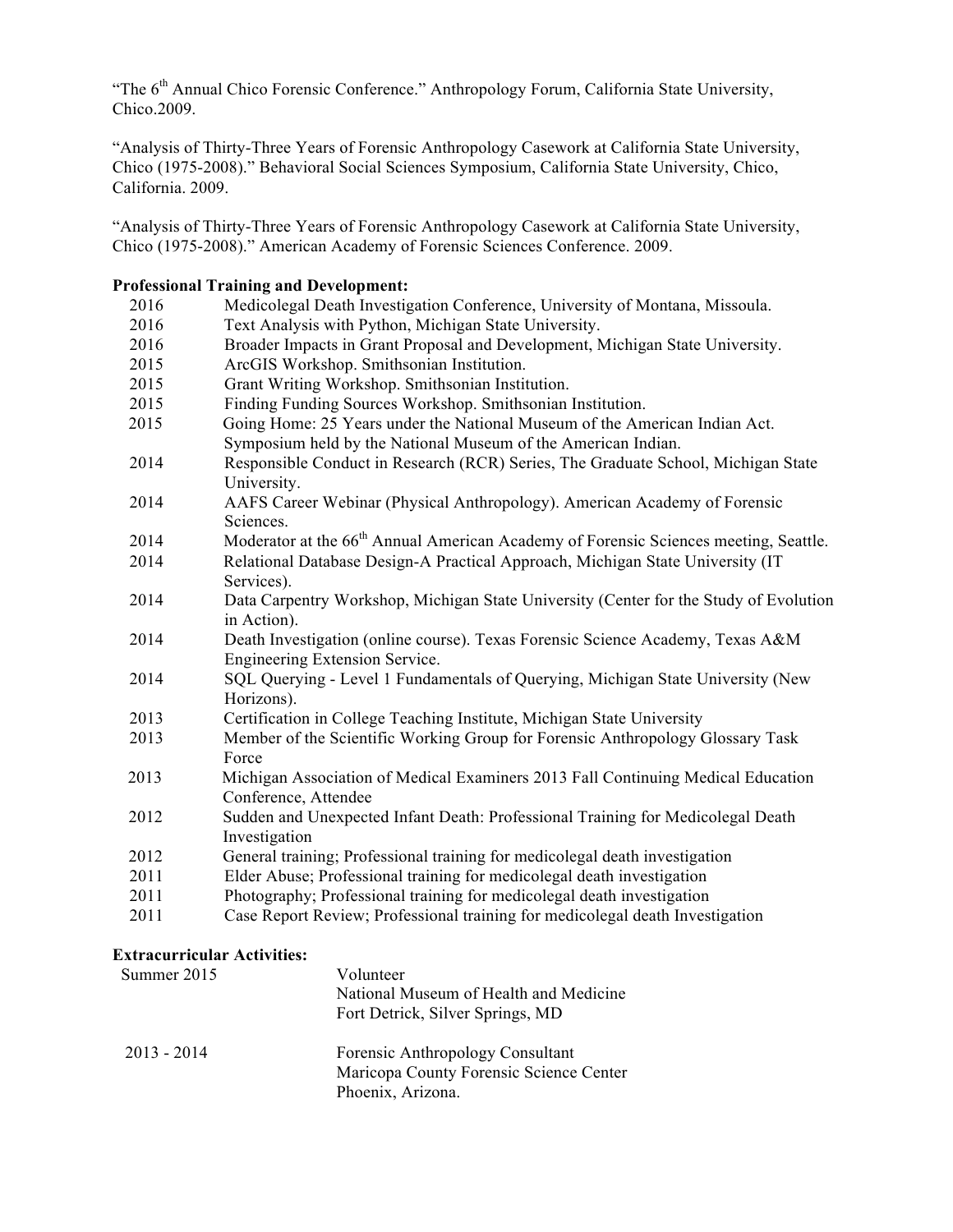"The 6<sup>th</sup> Annual Chico Forensic Conference." Anthropology Forum, California State University, Chico.2009.

"Analysis of Thirty-Three Years of Forensic Anthropology Casework at California State University, Chico (1975-2008)." Behavioral Social Sciences Symposium, California State University, Chico, California. 2009.

"Analysis of Thirty-Three Years of Forensic Anthropology Casework at California State University, Chico (1975-2008)." American Academy of Forensic Sciences Conference. 2009.

# **Professional Training and Development:**

| 2016 | Medicolegal Death Investigation Conference, University of Montana, Missoula.                             |
|------|----------------------------------------------------------------------------------------------------------|
| 2016 | Text Analysis with Python, Michigan State University.                                                    |
| 2016 | Broader Impacts in Grant Proposal and Development, Michigan State University.                            |
| 2015 | ArcGIS Workshop. Smithsonian Institution.                                                                |
| 2015 | Grant Writing Workshop. Smithsonian Institution.                                                         |
| 2015 | Finding Funding Sources Workshop. Smithsonian Institution.                                               |
| 2015 | Going Home: 25 Years under the National Museum of the American Indian Act.                               |
|      | Symposium held by the National Museum of the American Indian.                                            |
| 2014 | Responsible Conduct in Research (RCR) Series, The Graduate School, Michigan State<br>University.         |
| 2014 | AAFS Career Webinar (Physical Anthropology). American Academy of Forensic<br>Sciences.                   |
| 2014 | Moderator at the 66 <sup>th</sup> Annual American Academy of Forensic Sciences meeting, Seattle.         |
| 2014 | Relational Database Design-A Practical Approach, Michigan State University (IT                           |
|      | Services).                                                                                               |
| 2014 | Data Carpentry Workshop, Michigan State University (Center for the Study of Evolution<br>in Action).     |
| 2014 | Death Investigation (online course). Texas Forensic Science Academy, Texas A&M                           |
|      | Engineering Extension Service.                                                                           |
| 2014 | SQL Querying - Level 1 Fundamentals of Querying, Michigan State University (New<br>Horizons).            |
| 2013 | Certification in College Teaching Institute, Michigan State University                                   |
| 2013 | Member of the Scientific Working Group for Forensic Anthropology Glossary Task<br>Force                  |
| 2013 | Michigan Association of Medical Examiners 2013 Fall Continuing Medical Education<br>Conference, Attendee |
| 2012 | Sudden and Unexpected Infant Death: Professional Training for Medicolegal Death<br>Investigation         |
| 2012 | General training; Professional training for medicolegal death investigation                              |
| 2011 | Elder Abuse; Professional training for medicolegal death investigation                                   |
| 2011 | Photography; Professional training for medicolegal death investigation                                   |
| 2011 | Case Report Review; Professional training for medicolegal death Investigation                            |
|      |                                                                                                          |

# **Extracurricular Activities:**

| Summer 2015   | Volunteer<br>National Museum of Health and Medicine<br>Fort Detrick, Silver Springs, MD          |
|---------------|--------------------------------------------------------------------------------------------------|
| $2013 - 2014$ | Forensic Anthropology Consultant<br>Maricopa County Forensic Science Center<br>Phoenix, Arizona. |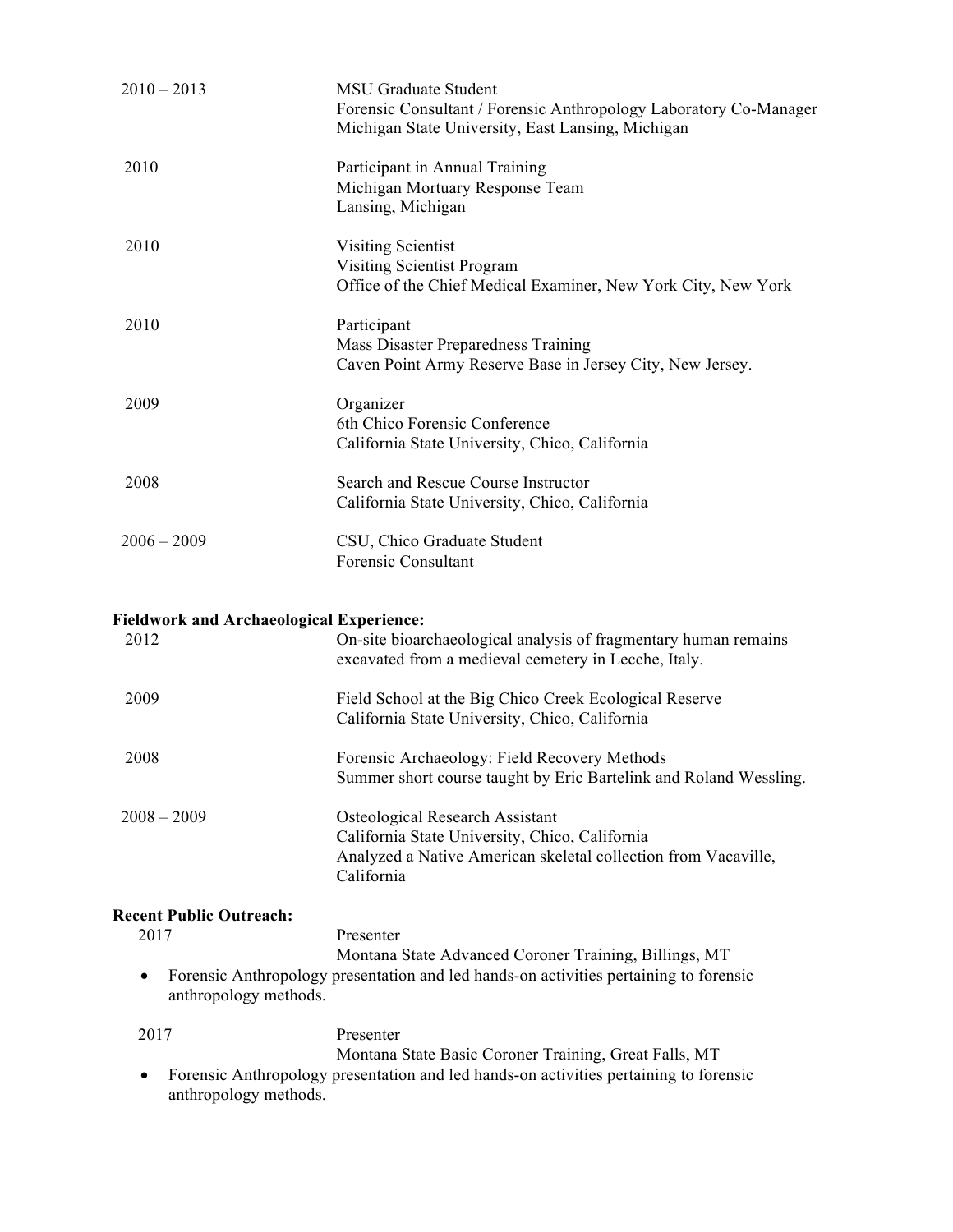| $2010 - 2013$                                           | <b>MSU Graduate Student</b><br>Forensic Consultant / Forensic Anthropology Laboratory Co-Manager<br>Michigan State University, East Lansing, Michigan                    |  |
|---------------------------------------------------------|--------------------------------------------------------------------------------------------------------------------------------------------------------------------------|--|
| 2010                                                    | Participant in Annual Training<br>Michigan Mortuary Response Team<br>Lansing, Michigan                                                                                   |  |
| 2010                                                    | <b>Visiting Scientist</b><br>Visiting Scientist Program<br>Office of the Chief Medical Examiner, New York City, New York                                                 |  |
| 2010                                                    | Participant<br>Mass Disaster Preparedness Training<br>Caven Point Army Reserve Base in Jersey City, New Jersey.                                                          |  |
| 2009                                                    | Organizer<br>6th Chico Forensic Conference<br>California State University, Chico, California                                                                             |  |
| 2008                                                    | Search and Rescue Course Instructor<br>California State University, Chico, California                                                                                    |  |
| $2006 - 2009$                                           | CSU, Chico Graduate Student<br><b>Forensic Consultant</b>                                                                                                                |  |
|                                                         |                                                                                                                                                                          |  |
| <b>Fieldwork and Archaeological Experience:</b><br>2012 | On-site bioarchaeological analysis of fragmentary human remains<br>excavated from a medieval cemetery in Lecche, Italy.                                                  |  |
| 2009                                                    | Field School at the Big Chico Creek Ecological Reserve<br>California State University, Chico, California                                                                 |  |
| 2008                                                    | Forensic Archaeology: Field Recovery Methods<br>Summer short course taught by Eric Bartelink and Roland Wessling.                                                        |  |
| $2008 - 2009$                                           | <b>Osteological Research Assistant</b><br>California State University, Chico, California<br>Analyzed a Native American skeletal collection from Vacaville,<br>California |  |
| <b>Recent Public Outreach:</b>                          |                                                                                                                                                                          |  |
| 2017                                                    | Presenter                                                                                                                                                                |  |
| anthropology methods.                                   | Montana State Advanced Coroner Training, Billings, MT<br>Forensic Anthropology presentation and led hands-on activities pertaining to forensic                           |  |
| 2017                                                    | Presenter                                                                                                                                                                |  |
| anthropology methods.                                   | Montana State Basic Coroner Training, Great Falls, MT<br>Forensic Anthropology presentation and led hands-on activities pertaining to forensic                           |  |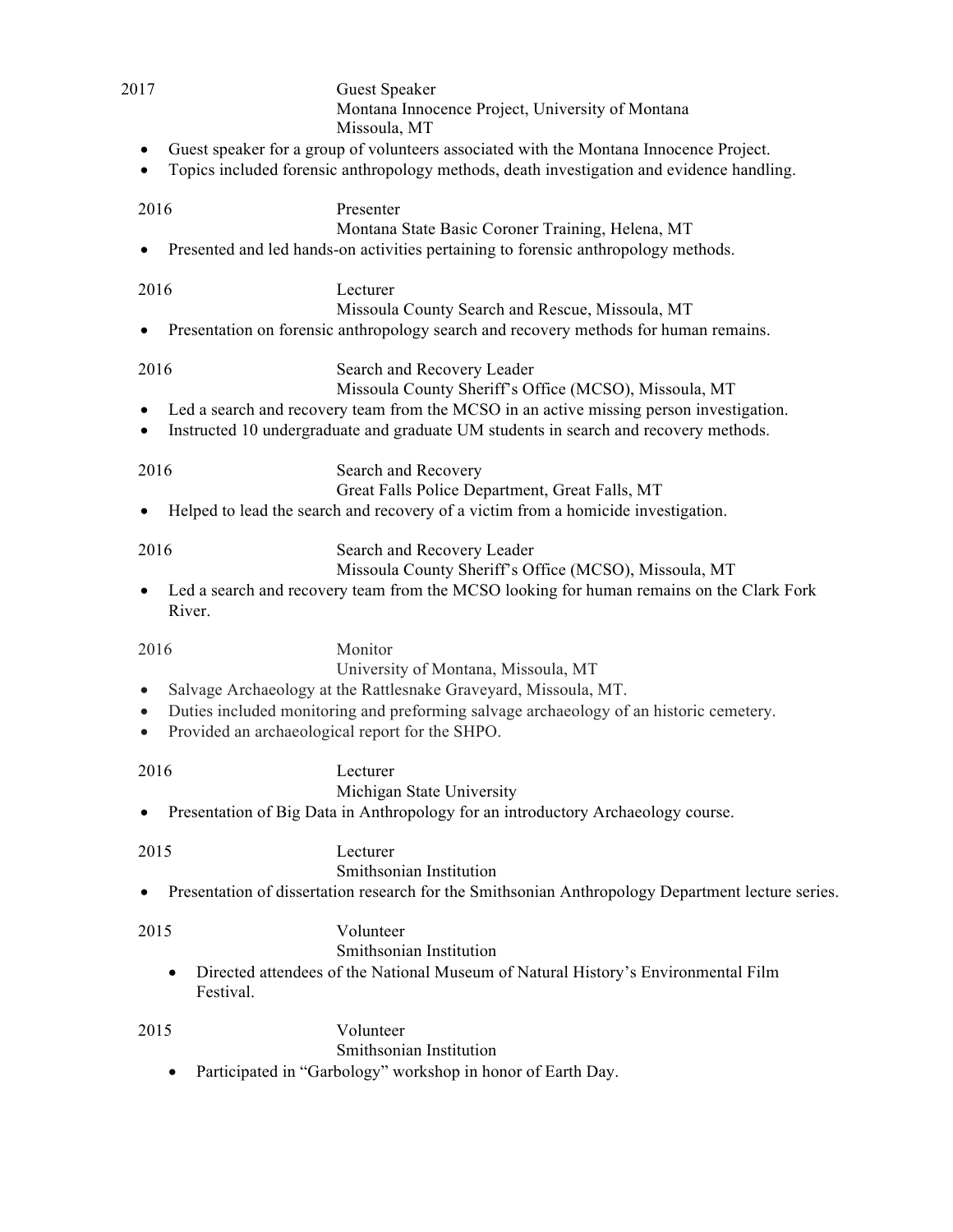| 2017                   |                | <b>Guest Speaker</b><br>Montana Innocence Project, University of Montana<br>Missoula, MT                                                                                            |
|------------------------|----------------|-------------------------------------------------------------------------------------------------------------------------------------------------------------------------------------|
| ٠<br>$\bullet$         |                | Guest speaker for a group of volunteers associated with the Montana Innocence Project.<br>Topics included forensic anthropology methods, death investigation and evidence handling. |
| 2016                   |                | Presenter                                                                                                                                                                           |
|                        |                | Montana State Basic Coroner Training, Helena, MT<br>Presented and led hands-on activities pertaining to forensic anthropology methods.                                              |
| 2016                   |                | Lecturer<br>Missoula County Search and Rescue, Missoula, MT                                                                                                                         |
| ٠                      |                | Presentation on forensic anthropology search and recovery methods for human remains.                                                                                                |
| 2016                   |                | Search and Recovery Leader<br>Missoula County Sheriff's Office (MCSO), Missoula, MT                                                                                                 |
| ٠                      |                | Led a search and recovery team from the MCSO in an active missing person investigation.<br>Instructed 10 undergraduate and graduate UM students in search and recovery methods.     |
| 2016                   |                | Search and Recovery                                                                                                                                                                 |
| ٠                      |                | Great Falls Police Department, Great Falls, MT<br>Helped to lead the search and recovery of a victim from a homicide investigation.                                                 |
| 2016                   |                | Search and Recovery Leader<br>Missoula County Sheriff's Office (MCSO), Missoula, MT                                                                                                 |
| $\bullet$              | River.         | Led a search and recovery team from the MCSO looking for human remains on the Clark Fork                                                                                            |
| 2016                   |                | Monitor                                                                                                                                                                             |
| $\bullet$              |                | University of Montana, Missoula, MT<br>Salvage Archaeology at the Rattlesnake Graveyard, Missoula, MT.                                                                              |
| $\bullet$<br>$\bullet$ |                | Duties included monitoring and preforming salvage archaeology of an historic cemetery.<br>Provided an archaeological report for the SHPO.                                           |
| 2016                   |                | Lecturer                                                                                                                                                                            |
|                        |                | Michigan State University<br>Presentation of Big Data in Anthropology for an introductory Archaeology course.                                                                       |
| 2015                   |                | Lecturer                                                                                                                                                                            |
|                        |                | Smithsonian Institution<br>Presentation of dissertation research for the Smithsonian Anthropology Department lecture series.                                                        |
| 2015                   |                | Volunteer                                                                                                                                                                           |
|                        |                | Smithsonian Institution                                                                                                                                                             |
|                        | ٠<br>Festival. | Directed attendees of the National Museum of Natural History's Environmental Film                                                                                                   |
| 2015                   |                | Volunteer                                                                                                                                                                           |
|                        |                | Smithsonian Institution                                                                                                                                                             |
|                        | ٠              | Participated in "Garbology" workshop in honor of Earth Day.                                                                                                                         |